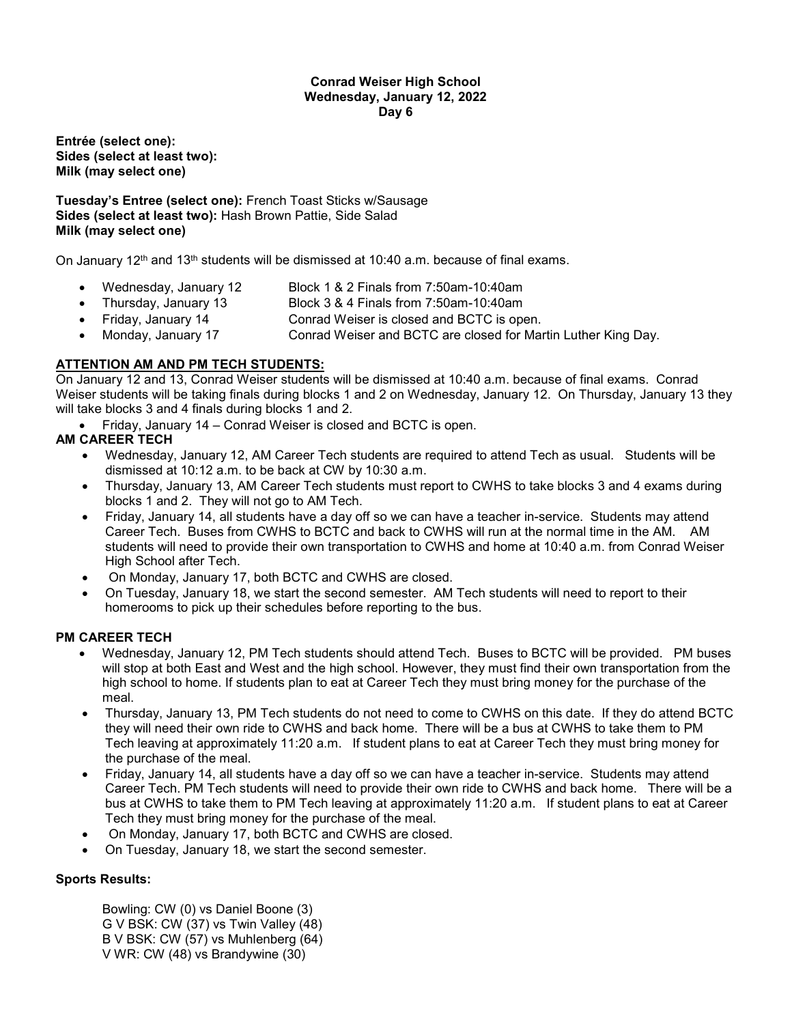#### **Conrad Weiser High School Wednesday, January 12, 2022 Day 6**

**Entrée (select one): Sides (select at least two): Milk (may select one)**

**Tuesday's Entree (select one):** French Toast Sticks w/Sausage **Sides (select at least two):** Hash Brown Pattie, Side Salad **Milk (may select one)**

On January  $12<sup>th</sup>$  and  $13<sup>th</sup>$  students will be dismissed at 10:40 a.m. because of final exams.

- Wednesday, January 12 Block 1 & 2 Finals from 7:50am-10:40am
- Thursday, January 13 Block 3 & 4 Finals from 7:50am-10:40am
- Friday, January 14 Conrad Weiser is closed and BCTC is open.
- 
- Monday, January 17 Conrad Weiser and BCTC are closed for Martin Luther King Day.

# **ATTENTION AM AND PM TECH STUDENTS:**

On January 12 and 13, Conrad Weiser students will be dismissed at 10:40 a.m. because of final exams. Conrad Weiser students will be taking finals during blocks 1 and 2 on Wednesday, January 12. On Thursday, January 13 they will take blocks 3 and 4 finals during blocks 1 and 2.

• Friday, January 14 – Conrad Weiser is closed and BCTC is open.

# **AM CAREER TECH**

- Wednesday, January 12, AM Career Tech students are required to attend Tech as usual. Students will be dismissed at 10:12 a.m. to be back at CW by 10:30 a.m.
- Thursday, January 13, AM Career Tech students must report to CWHS to take blocks 3 and 4 exams during blocks 1 and 2. They will not go to AM Tech.
- Friday, January 14, all students have a day off so we can have a teacher in-service. Students may attend Career Tech. Buses from CWHS to BCTC and back to CWHS will run at the normal time in the AM. AM students will need to provide their own transportation to CWHS and home at 10:40 a.m. from Conrad Weiser High School after Tech.
- On Monday, January 17, both BCTC and CWHS are closed.
- On Tuesday, January 18, we start the second semester. AM Tech students will need to report to their homerooms to pick up their schedules before reporting to the bus.

## **PM CAREER TECH**

- Wednesday, January 12, PM Tech students should attend Tech. Buses to BCTC will be provided. PM buses will stop at both East and West and the high school. However, they must find their own transportation from the high school to home. If students plan to eat at Career Tech they must bring money for the purchase of the meal.
- Thursday, January 13, PM Tech students do not need to come to CWHS on this date. If they do attend BCTC they will need their own ride to CWHS and back home. There will be a bus at CWHS to take them to PM Tech leaving at approximately 11:20 a.m. If student plans to eat at Career Tech they must bring money for the purchase of the meal.
- Friday, January 14, all students have a day off so we can have a teacher in-service. Students may attend Career Tech. PM Tech students will need to provide their own ride to CWHS and back home. There will be a bus at CWHS to take them to PM Tech leaving at approximately 11:20 a.m. If student plans to eat at Career Tech they must bring money for the purchase of the meal.
- On Monday, January 17, both BCTC and CWHS are closed.
- On Tuesday, January 18, we start the second semester.

## **Sports Results:**

Bowling: CW (0) vs Daniel Boone (3) G V BSK: CW (37) vs Twin Valley (48) B V BSK: CW (57) vs Muhlenberg (64) V WR: CW (48) vs Brandywine (30)